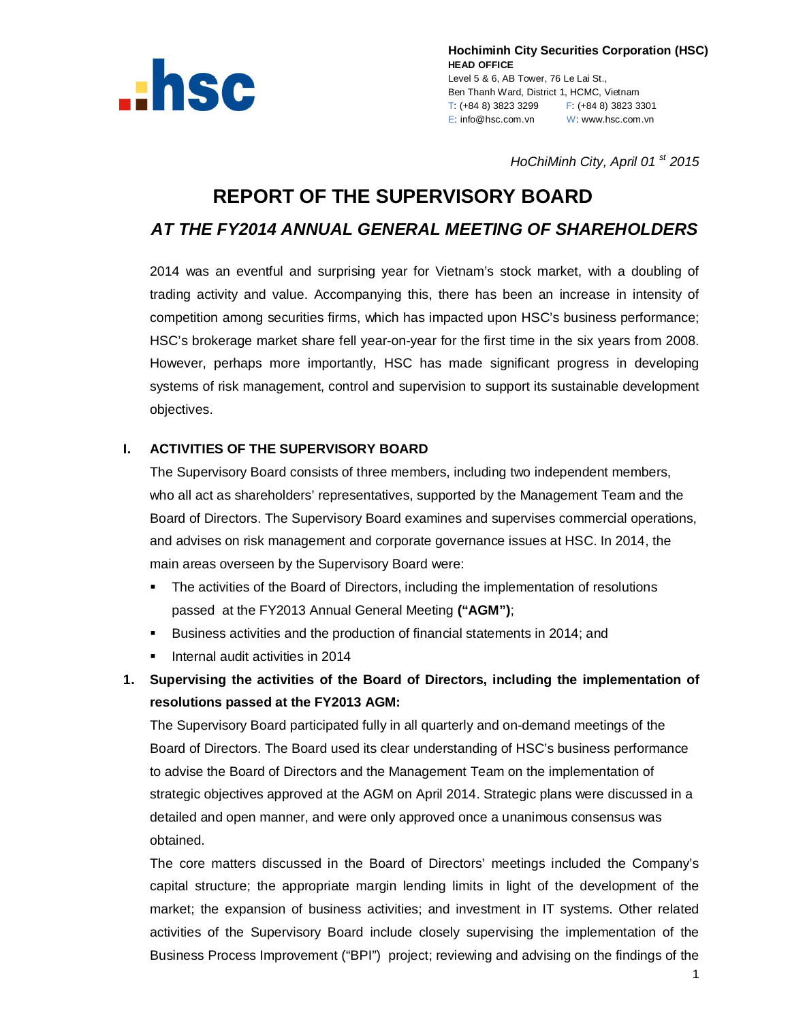

**Hochiminh City Securities Corporation (HSC) HEAD OFFICE** Level 5 & 6, AB Tower, 76 Le Lai St., Ben Thanh Ward, District 1, HCMC, Vietnam T: (+84 8) 3823 3299 F: (+84 8) 3823 3301 E: info@hsc.com.vn W: www.hsc.com.vn

*HoChiMinh City, April 01 st 2015*

# **REPORT OF THE SUPERVISORY BOARD** *AT THE FY2014 ANNUAL GENERAL MEETING OF SHAREHOLDERS*

2014 was an eventful and surprising year for Vietnam's stock market, with a doubling of trading activity and value. Accompanying this, there has been an increase in intensity of competition among securities firms, which has impacted upon HSC's business performance; HSC's brokerage market share fell year-on-year for the first time in the six years from 2008. However, perhaps more importantly, HSC has made significant progress in developing systems of risk management, control and supervision to support its sustainable development objectives.

#### **I. ACTIVITIES OF THE SUPERVISORY BOARD**

The Supervisory Board consists of three members, including two independent members, who all act as shareholders' representatives, supported by the Management Team and the Board of Directors. The Supervisory Board examines and supervises commercial operations, and advises on risk management and corporate governance issues at HSC. In 2014, the main areas overseen by the Supervisory Board were:

- The activities of the Board of Directors, including the implementation of resolutions passed at the FY2013 Annual General Meeting **("AGM")**;
- Business activities and the production of financial statements in 2014; and
- **Internal audit activities in 2014**
- **1. Supervising the activities of the Board of Directors, including the implementation of resolutions passed at the FY2013 AGM:**

The Supervisory Board participated fully in all quarterly and on-demand meetings of the Board of Directors. The Board used its clear understanding of HSC's business performance to advise the Board of Directors and the Management Team on the implementation of strategic objectives approved at the AGM on April 2014. Strategic plans were discussed in a detailed and open manner, and were only approved once a unanimous consensus was obtained.

The core matters discussed in the Board of Directors' meetings included the Company's capital structure; the appropriate margin lending limits in light of the development of the market; the expansion of business activities; and investment in IT systems. Other related activities of the Supervisory Board include closely supervising the implementation of the Business Process Improvement ("BPI") project; reviewing and advising on the findings of the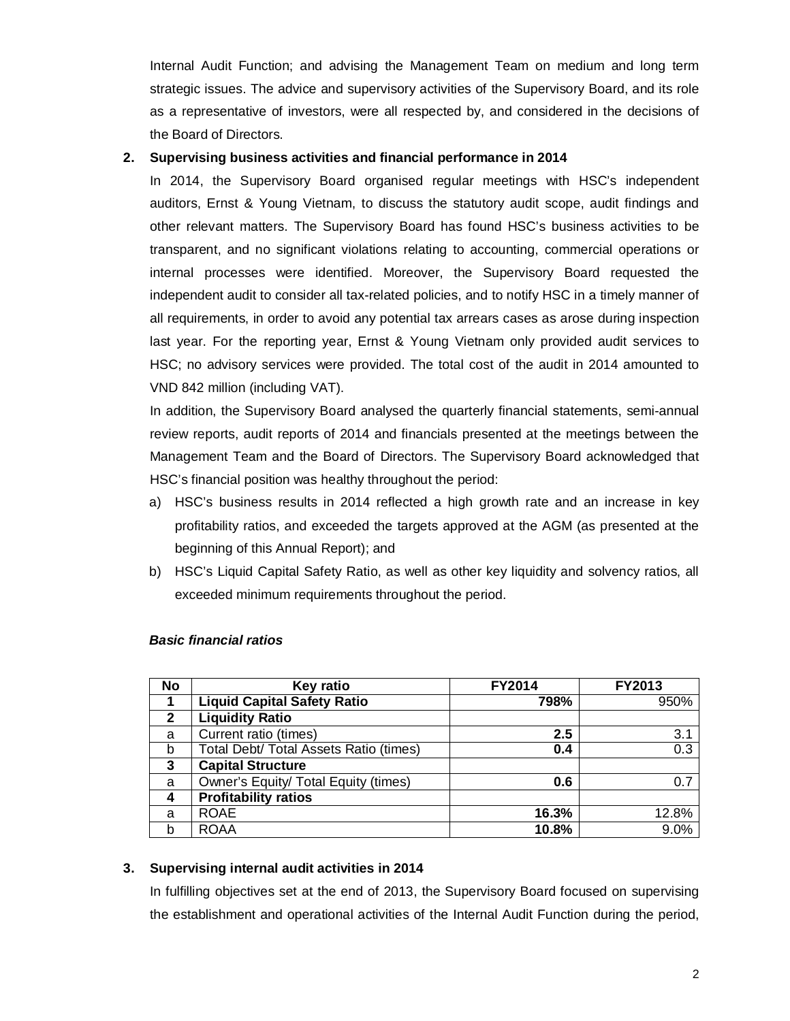Internal Audit Function; and advising the Management Team on medium and long term strategic issues. The advice and supervisory activities of the Supervisory Board, and its role as a representative of investors, were all respected by, and considered in the decisions of the Board of Directors.

#### **2. Supervising business activities and financial performance in 2014**

In 2014, the Supervisory Board organised regular meetings with HSC's independent auditors, Ernst & Young Vietnam, to discuss the statutory audit scope, audit findings and other relevant matters. The Supervisory Board has found HSC's business activities to be transparent, and no significant violations relating to accounting, commercial operations or internal processes were identified. Moreover, the Supervisory Board requested the independent audit to consider all tax-related policies, and to notify HSC in a timely manner of all requirements, in order to avoid any potential tax arrears cases as arose during inspection last year. For the reporting year, Ernst & Young Vietnam only provided audit services to HSC; no advisory services were provided. The total cost of the audit in 2014 amounted to VND 842 million (including VAT).

In addition, the Supervisory Board analysed the quarterly financial statements, semi-annual review reports, audit reports of 2014 and financials presented at the meetings between the Management Team and the Board of Directors. The Supervisory Board acknowledged that HSC's financial position was healthy throughout the period:

- a) HSC's business results in 2014 reflected a high growth rate and an increase in key profitability ratios, and exceeded the targets approved at the AGM (as presented at the beginning of this Annual Report); and
- b) HSC's Liquid Capital Safety Ratio, as well as other key liquidity and solvency ratios, all exceeded minimum requirements throughout the period.

| <b>No</b>    | <b>Key ratio</b>                       | <b>FY2014</b> | FY2013           |
|--------------|----------------------------------------|---------------|------------------|
| 1            | <b>Liquid Capital Safety Ratio</b>     | 798%          | 950%             |
| $\mathbf{2}$ | <b>Liquidity Ratio</b>                 |               |                  |
| a            | Current ratio (times)                  | 2.5           | 3.1              |
| b            | Total Debt/ Total Assets Ratio (times) | 0.4           | $\overline{0.3}$ |
| 3            | <b>Capital Structure</b>               |               |                  |
| a            | Owner's Equity/ Total Equity (times)   | 0.6           | 0.7              |
| 4            | <b>Profitability ratios</b>            |               |                  |
| a            | <b>ROAE</b>                            | 16.3%         | 12.8%            |
| b            | <b>ROAA</b>                            | 10.8%         | 9.0%             |

#### *Basic financial ratios*

#### **3. Supervising internal audit activities in 2014**

In fulfilling objectives set at the end of 2013, the Supervisory Board focused on supervising the establishment and operational activities of the Internal Audit Function during the period,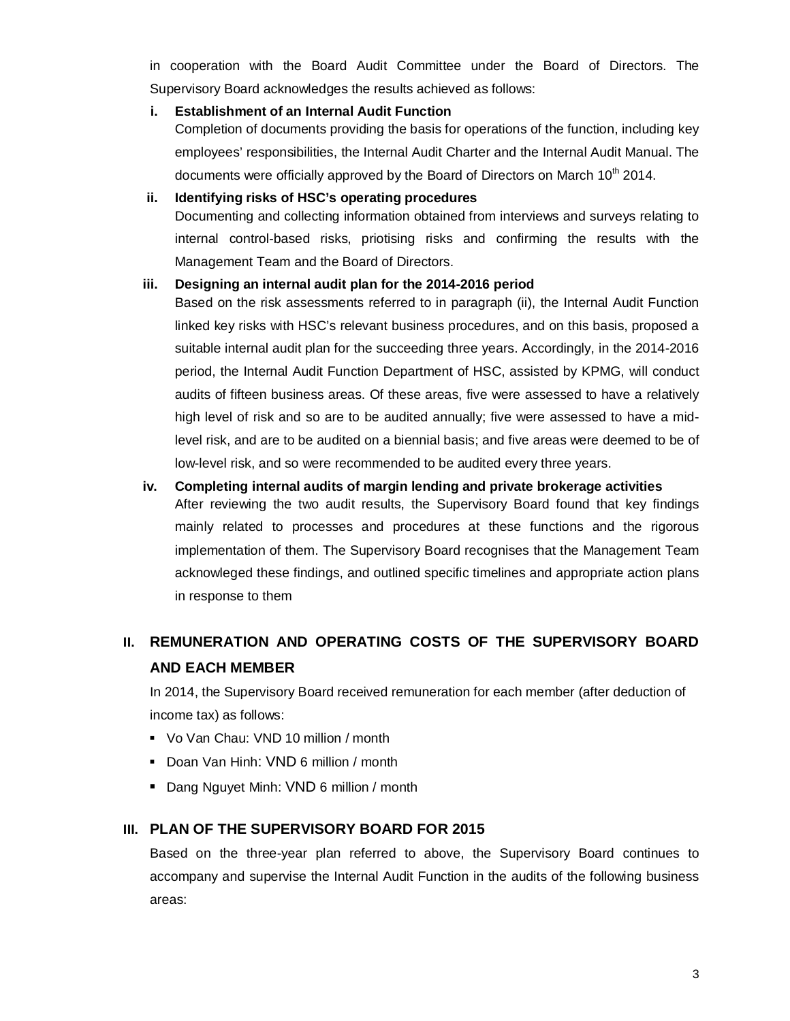in cooperation with the Board Audit Committee under the Board of Directors. The Supervisory Board acknowledges the results achieved as follows:

#### **i. Establishment of an Internal Audit Function**

Completion of documents providing the basis for operations of the function, including key employees' responsibilities, the Internal Audit Charter and the Internal Audit Manual. The documents were officially approved by the Board of Directors on March 10<sup>th</sup> 2014.

#### **ii. Identifying risks of HSC's operating procedures**

Documenting and collecting information obtained from interviews and surveys relating to internal control-based risks, priotising risks and confirming the results with the Management Team and the Board of Directors.

#### **iii. Designing an internal audit plan for the 2014-2016 period**

Based on the risk assessments referred to in paragraph (ii), the Internal Audit Function linked key risks with HSC's relevant business procedures, and on this basis, proposed a suitable internal audit plan for the succeeding three years. Accordingly, in the 2014-2016 period, the Internal Audit Function Department of HSC, assisted by KPMG, will conduct audits of fifteen business areas. Of these areas, five were assessed to have a relatively high level of risk and so are to be audited annually; five were assessed to have a midlevel risk, and are to be audited on a biennial basis; and five areas were deemed to be of low-level risk, and so were recommended to be audited every three years.

#### **iv. Completing internal audits of margin lending and private brokerage activities**

After reviewing the two audit results, the Supervisory Board found that key findings mainly related to processes and procedures at these functions and the rigorous implementation of them. The Supervisory Board recognises that the Management Team acknowleged these findings, and outlined specific timelines and appropriate action plans in response to them

## **II. REMUNERATION AND OPERATING COSTS OF THE SUPERVISORY BOARD AND EACH MEMBER**

In 2014, the Supervisory Board received remuneration for each member (after deduction of income tax) as follows:

- Vo Van Chau: VND 10 million / month
- Doan Van Hinh: VND 6 million / month
- **Dang Nguyet Minh: VND 6 million / month**

#### **III. PLAN OF THE SUPERVISORY BOARD FOR 2015**

Based on the three-year plan referred to above, the Supervisory Board continues to accompany and supervise the Internal Audit Function in the audits of the following business areas: